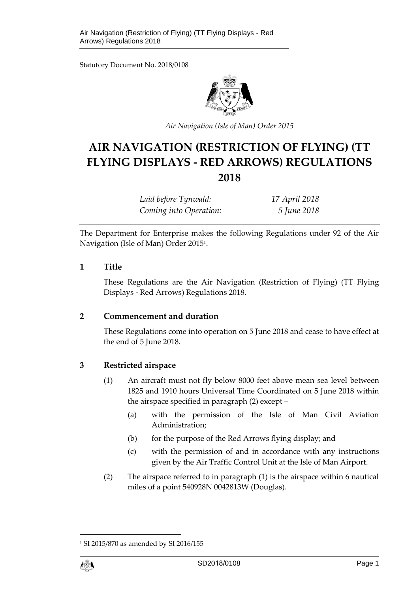Statutory Document No. 2018/0108



*Air Navigation (Isle of Man) Order 2015* 

# **AIR NAVIGATION (RESTRICTION OF FLYING) (TT FLYING DISPLAYS - RED ARROWS) REGULATIONS 2018**

| Laid before Tynwald:   | 17 April 2018 |
|------------------------|---------------|
| Coming into Operation: | 5 June 2018   |

The Department for Enterprise makes the following Regulations under 92 of the Air Navigation (Isle of Man) Order 2015<sup>1</sup> .

#### **1 Title**

These Regulations are the Air Navigation (Restriction of Flying) (TT Flying Displays - Red Arrows) Regulations 2018.

#### **2 Commencement and duration**

These Regulations come into operation on 5 June 2018 and cease to have effect at the end of 5 June 2018.

#### **3 Restricted airspace**

- (1) An aircraft must not fly below 8000 feet above mean sea level between 1825 and 1910 hours Universal Time Coordinated on 5 June 2018 within the airspace specified in paragraph (2) except –
	- (a) with the permission of the Isle of Man Civil Aviation Administration;
	- (b) for the purpose of the Red Arrows flying display; and
	- (c) with the permission of and in accordance with any instructions given by the Air Traffic Control Unit at the Isle of Man Airport.
- (2) The airspace referred to in paragraph (1) is the airspace within 6 nautical miles of a point 540928N 0042813W (Douglas).

<sup>1</sup> SI 2015/870 as amended by SI 2016/155

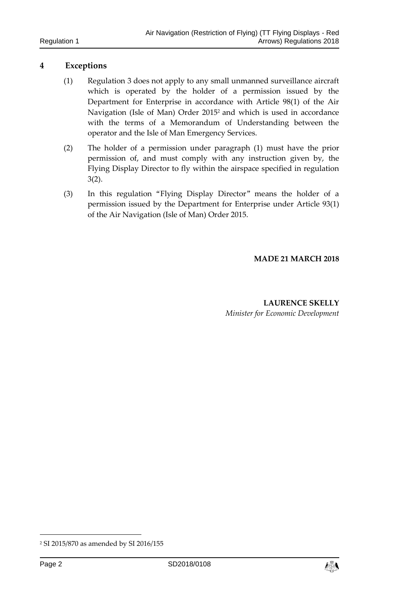### **4 Exceptions**

- (1) Regulation 3 does not apply to any small unmanned surveillance aircraft which is operated by the holder of a permission issued by the Department for Enterprise in accordance with Article 98(1) of the Air Navigation (Isle of Man) Order 2015<sup>2</sup> and which is used in accordance with the terms of a Memorandum of Understanding between the operator and the Isle of Man Emergency Services.
- (2) The holder of a permission under paragraph (1) must have the prior permission of, and must comply with any instruction given by, the Flying Display Director to fly within the airspace specified in regulation 3(2).
- (3) In this regulation "Flying Display Director" means the holder of a permission issued by the Department for Enterprise under Article 93(1) of the Air Navigation (Isle of Man) Order 2015.

#### **MADE 21 MARCH 2018**

**LAURENCE SKELLY** *Minister for Economic Development*

-

<sup>2</sup> SI 2015/870 as amended by SI 2016/155